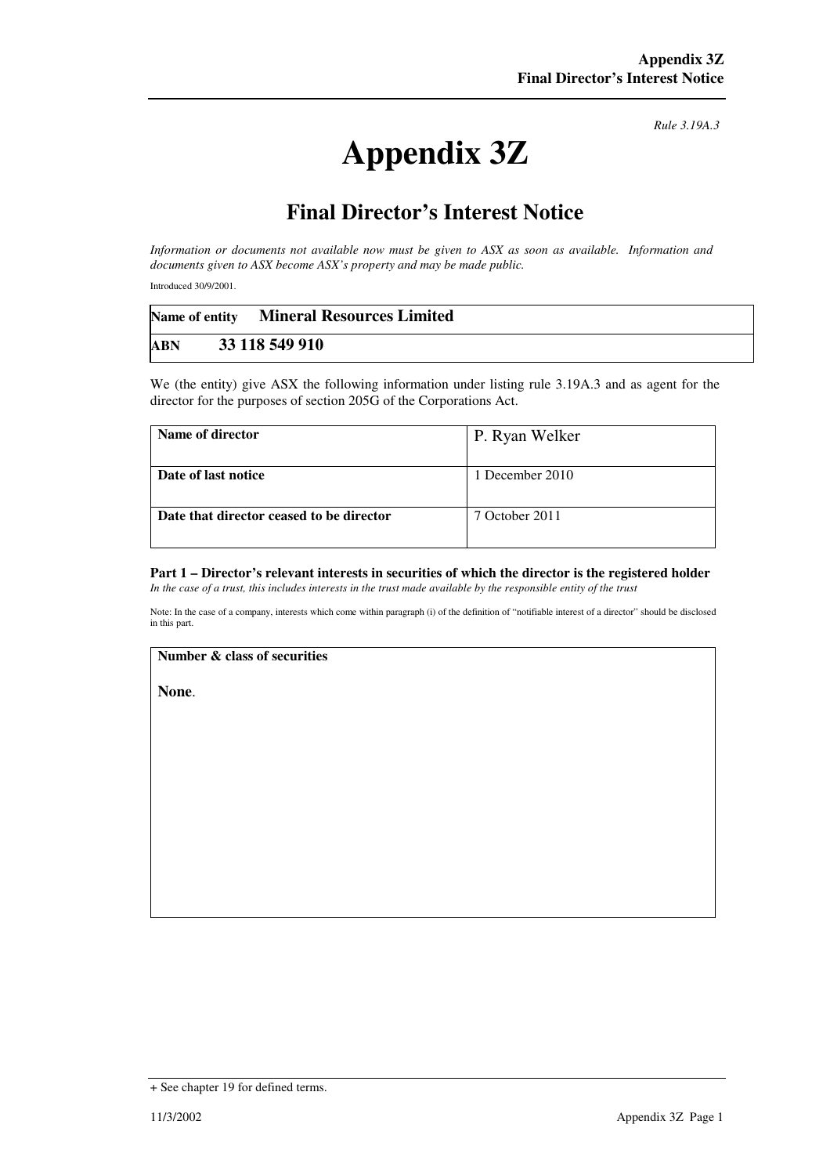# **Appendix 3Z**

*Rule 3.19A.3*

## **Final Director's Interest Notice**

*Information or documents not available now must be given to ASX as soon as available. Information and documents given to ASX become ASX's property and may be made public.* 

Introduced 30/9/2001.

|     | Name of entity Mineral Resources Limited |  |
|-----|------------------------------------------|--|
| ABN | 33 118 549 910                           |  |

We (the entity) give ASX the following information under listing rule 3.19A.3 and as agent for the director for the purposes of section 205G of the Corporations Act.

| Name of director                         | P. Ryan Welker  |
|------------------------------------------|-----------------|
| Date of last notice                      | 1 December 2010 |
| Date that director ceased to be director | 7 October 2011  |

#### **Part 1 – Director's relevant interests in securities of which the director is the registered holder** *In the case of a trust, this includes interests in the trust made available by the responsible entity of the trust*

Note: In the case of a company, interests which come within paragraph (i) of the definition of "notifiable interest of a director" should be disclosed in this part.

#### **Number & class of securities**

**None**.

<sup>+</sup> See chapter 19 for defined terms.